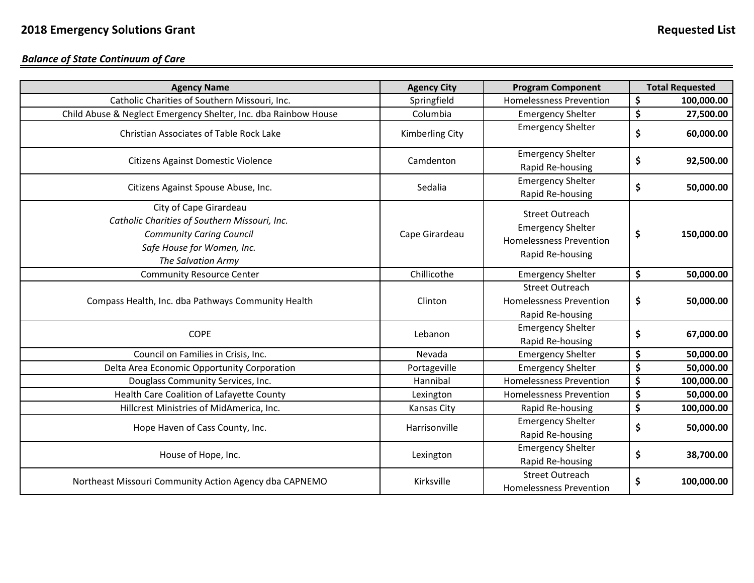*Balance of State Continuum of Care*

| <b>Agency Name</b>                                                                                                                                             | <b>Agency City</b>     | <b>Program Component</b>                                                                                 | <b>Total Requested</b> |
|----------------------------------------------------------------------------------------------------------------------------------------------------------------|------------------------|----------------------------------------------------------------------------------------------------------|------------------------|
| Catholic Charities of Southern Missouri, Inc.                                                                                                                  | Springfield            | <b>Homelessness Prevention</b>                                                                           | \$<br>100,000.00       |
| Child Abuse & Neglect Emergency Shelter, Inc. dba Rainbow House                                                                                                | Columbia               | <b>Emergency Shelter</b>                                                                                 | \$<br>27,500.00        |
| Christian Associates of Table Rock Lake                                                                                                                        | <b>Kimberling City</b> | <b>Emergency Shelter</b>                                                                                 | \$<br>60,000.00        |
| <b>Citizens Against Domestic Violence</b>                                                                                                                      | Camdenton              | <b>Emergency Shelter</b><br>Rapid Re-housing                                                             | \$<br>92,500.00        |
| Citizens Against Spouse Abuse, Inc.                                                                                                                            | Sedalia                | <b>Emergency Shelter</b><br>Rapid Re-housing                                                             | \$<br>50,000.00        |
| City of Cape Girardeau<br>Catholic Charities of Southern Missouri, Inc.<br><b>Community Caring Council</b><br>Safe House for Women, Inc.<br>The Salvation Army | Cape Girardeau         | <b>Street Outreach</b><br><b>Emergency Shelter</b><br><b>Homelessness Prevention</b><br>Rapid Re-housing | \$<br>150,000.00       |
| <b>Community Resource Center</b>                                                                                                                               | Chillicothe            | <b>Emergency Shelter</b>                                                                                 | \$<br>50,000.00        |
| Compass Health, Inc. dba Pathways Community Health                                                                                                             | Clinton                | <b>Street Outreach</b><br><b>Homelessness Prevention</b><br>Rapid Re-housing                             | \$<br>50,000.00        |
| <b>COPE</b>                                                                                                                                                    | Lebanon                | <b>Emergency Shelter</b><br>Rapid Re-housing                                                             | \$<br>67,000.00        |
| Council on Families in Crisis, Inc.                                                                                                                            | Nevada                 | <b>Emergency Shelter</b>                                                                                 | \$<br>50,000.00        |
| Delta Area Economic Opportunity Corporation                                                                                                                    | Portageville           | <b>Emergency Shelter</b>                                                                                 | \$<br>50,000.00        |
| Douglass Community Services, Inc.                                                                                                                              | Hannibal               | <b>Homelessness Prevention</b>                                                                           | \$<br>100,000.00       |
| Health Care Coalition of Lafayette County                                                                                                                      | Lexington              | <b>Homelessness Prevention</b>                                                                           | \$<br>50,000.00        |
| Hillcrest Ministries of MidAmerica, Inc.                                                                                                                       | Kansas City            | Rapid Re-housing                                                                                         | \$<br>100,000.00       |
| Hope Haven of Cass County, Inc.                                                                                                                                | Harrisonville          | <b>Emergency Shelter</b><br>Rapid Re-housing                                                             | \$<br>50,000.00        |
| House of Hope, Inc.                                                                                                                                            | Lexington              | <b>Emergency Shelter</b><br>Rapid Re-housing                                                             | \$<br>38,700.00        |
| Northeast Missouri Community Action Agency dba CAPNEMO                                                                                                         | Kirksville             | <b>Street Outreach</b><br><b>Homelessness Prevention</b>                                                 | \$<br>100,000.00       |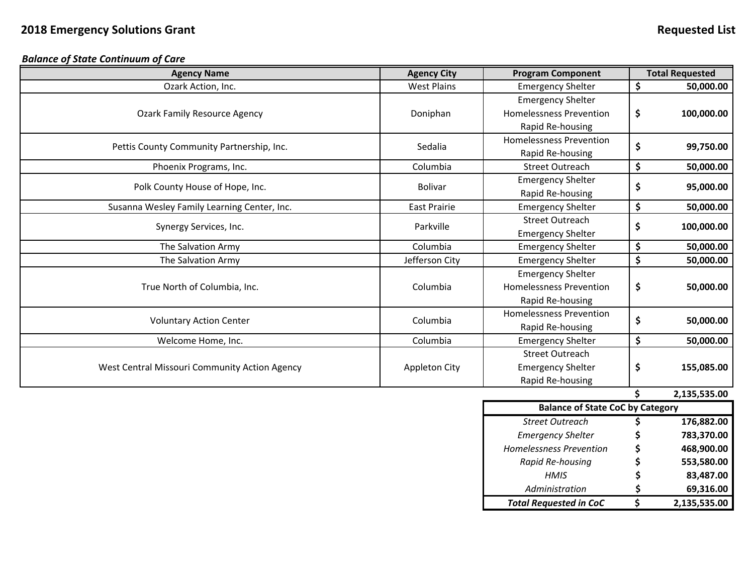*Balance of State Continuum of Care*

| <b>Agency Name</b>                            | <b>Agency City</b>  | <b>Program Component</b>       |    | <b>Total Requested</b> |
|-----------------------------------------------|---------------------|--------------------------------|----|------------------------|
| Ozark Action, Inc.                            | <b>West Plains</b>  | <b>Emergency Shelter</b>       | \$ | 50,000.00              |
|                                               |                     | <b>Emergency Shelter</b>       |    |                        |
| <b>Ozark Family Resource Agency</b>           | Doniphan            | <b>Homelessness Prevention</b> | \$ | 100,000.00             |
|                                               | Rapid Re-housing    |                                |    |                        |
|                                               | Sedalia             | <b>Homelessness Prevention</b> |    |                        |
| Pettis County Community Partnership, Inc.     |                     | Rapid Re-housing               | \$ | 99,750.00              |
| Phoenix Programs, Inc.                        | Columbia            | <b>Street Outreach</b>         | \$ | 50,000.00              |
| Polk County House of Hope, Inc.               | <b>Bolivar</b>      | <b>Emergency Shelter</b>       | \$ | 95,000.00              |
|                                               |                     | Rapid Re-housing               |    |                        |
| Susanna Wesley Family Learning Center, Inc.   | <b>East Prairie</b> | <b>Emergency Shelter</b>       | \$ | 50,000.00              |
|                                               | Parkville           | <b>Street Outreach</b>         | \$ |                        |
| Synergy Services, Inc.                        |                     | <b>Emergency Shelter</b>       |    | 100,000.00             |
| The Salvation Army                            | Columbia            | <b>Emergency Shelter</b>       | \$ | 50,000.00              |
| The Salvation Army                            | Jefferson City      | <b>Emergency Shelter</b>       | \$ | 50,000.00              |
|                                               |                     | <b>Emergency Shelter</b>       |    |                        |
| True North of Columbia, Inc.                  | Columbia            | <b>Homelessness Prevention</b> | \$ | 50,000.00              |
|                                               |                     | Rapid Re-housing               |    |                        |
|                                               | Columbia            | <b>Homelessness Prevention</b> |    |                        |
| <b>Voluntary Action Center</b>                |                     | Rapid Re-housing               | \$ | 50,000.00              |
| Welcome Home, Inc.                            | Columbia            | <b>Emergency Shelter</b>       | \$ | 50,000.00              |
| West Central Missouri Community Action Agency |                     | <b>Street Outreach</b>         |    |                        |
|                                               | Appleton City       | <b>Emergency Shelter</b>       | \$ | 155,085.00             |
|                                               |                     | Rapid Re-housing               |    |                        |

**\$ 2,135,535.00**

| <b>Balance of State CoC by Category</b> |    |              |  |  |  |  |
|-----------------------------------------|----|--------------|--|--|--|--|
| <b>Street Outreach</b>                  |    | 176,882.00   |  |  |  |  |
| <b>Emergency Shelter</b>                | \$ | 783,370.00   |  |  |  |  |
| <b>Homelessness Prevention</b>          | Ś  | 468,900.00   |  |  |  |  |
| Rapid Re-housing                        | \$ | 553,580.00   |  |  |  |  |
| <b>HMIS</b>                             | Ś  | 83,487.00    |  |  |  |  |
| Administration                          | S  | 69,316.00    |  |  |  |  |
| <b>Total Requested in CoC</b>           |    | 2,135,535.00 |  |  |  |  |
|                                         |    |              |  |  |  |  |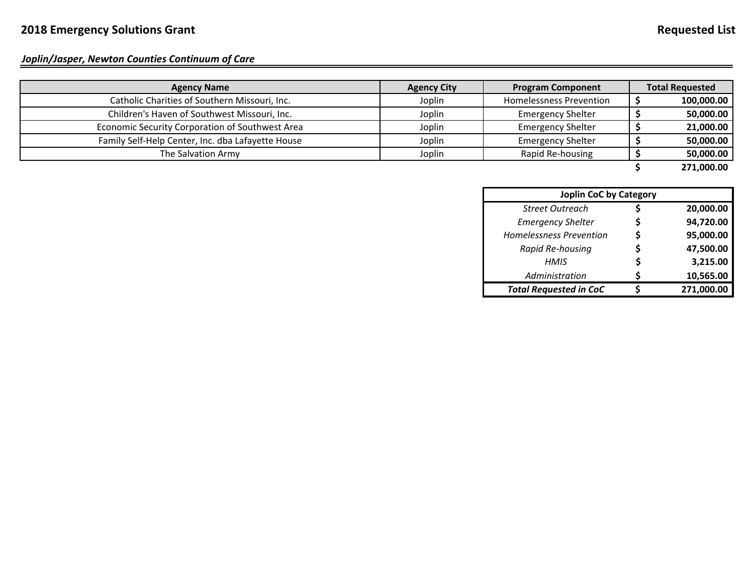*Joplin/Jasper, Newton Counties Continuum of Care*

| <b>Agency Name</b>                                | <b>Agency City</b> | <b>Program Component</b> |  | <b>Total Requested</b> |
|---------------------------------------------------|--------------------|--------------------------|--|------------------------|
| Catholic Charities of Southern Missouri, Inc.     | Joplin             | Homelessness Prevention  |  | 100,000.00             |
| Children's Haven of Southwest Missouri, Inc.      | Joplin             | <b>Emergency Shelter</b> |  | 50,000.00              |
| Economic Security Corporation of Southwest Area   | Joplin             | <b>Emergency Shelter</b> |  | 21,000.00              |
| Family Self-Help Center, Inc. dba Lafayette House | Joplin             | <b>Emergency Shelter</b> |  | 50,000.00              |
| The Salvation Army                                | Joplin             | Rapid Re-housing         |  | 50,000.00              |
|                                                   |                    |                          |  | 271,000.00             |

| <b>Joplin CoC by Category</b>  |    |            |  |  |  |
|--------------------------------|----|------------|--|--|--|
| <b>Street Outreach</b>         |    | 20,000.00  |  |  |  |
| <b>Emergency Shelter</b>       | S  | 94,720.00  |  |  |  |
| <b>Homelessness Prevention</b> | \$ | 95,000.00  |  |  |  |
| Rapid Re-housing               | S  | 47,500.00  |  |  |  |
| <b>HMIS</b>                    | S  | 3,215.00   |  |  |  |
| Administration                 |    | 10,565.00  |  |  |  |
| <b>Total Requested in CoC</b>  |    | 271,000.00 |  |  |  |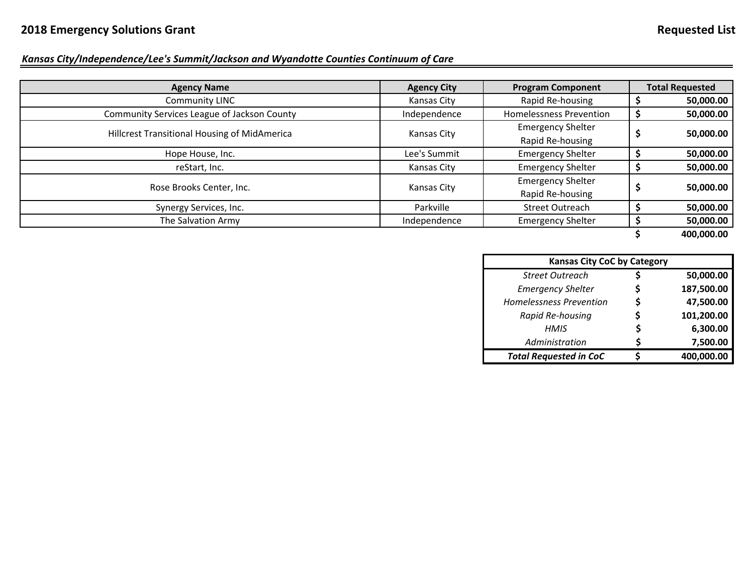### *Kansas City/Independence/Lee's Summit/Jackson and Wyandotte Counties Continuum of Care*

| <b>Agency Name</b>                           | <b>Agency City</b> | <b>Program Component</b>       |  | <b>Total Requested</b> |
|----------------------------------------------|--------------------|--------------------------------|--|------------------------|
|                                              |                    |                                |  |                        |
| Community LINC                               | Kansas City        | Rapid Re-housing               |  | 50,000.00              |
| Community Services League of Jackson County  | Independence       | <b>Homelessness Prevention</b> |  | 50,000.00              |
| Hillcrest Transitional Housing of MidAmerica | Kansas City        | <b>Emergency Shelter</b>       |  | 50,000.00              |
|                                              |                    | Rapid Re-housing               |  |                        |
| Hope House, Inc.                             | Lee's Summit       | <b>Emergency Shelter</b>       |  | 50,000.00              |
| reStart, Inc.                                | Kansas City        | <b>Emergency Shelter</b>       |  | 50,000.00              |
|                                              |                    | <b>Emergency Shelter</b>       |  | 50,000.00              |
| Rose Brooks Center, Inc.                     | Kansas City        | Rapid Re-housing               |  |                        |
| Synergy Services, Inc.                       | Parkville          | <b>Street Outreach</b>         |  | 50,000.00              |
| The Salvation Army                           | Independence       | <b>Emergency Shelter</b>       |  | 50,000.00              |

**\$ 400,000.00**

| <b>Kansas City CoC by Category</b> |   |            |
|------------------------------------|---|------------|
| <b>Street Outreach</b>             |   | 50,000.00  |
| <b>Emergency Shelter</b>           |   | 187,500.00 |
| <b>Homelessness Prevention</b>     | S | 47,500.00  |
| Rapid Re-housing                   |   | 101,200.00 |
| <b>HMIS</b>                        |   | 6,300.00   |
| Administration                     |   | 7,500.00   |
| <b>Total Requested in CoC</b>      |   | 400,000.00 |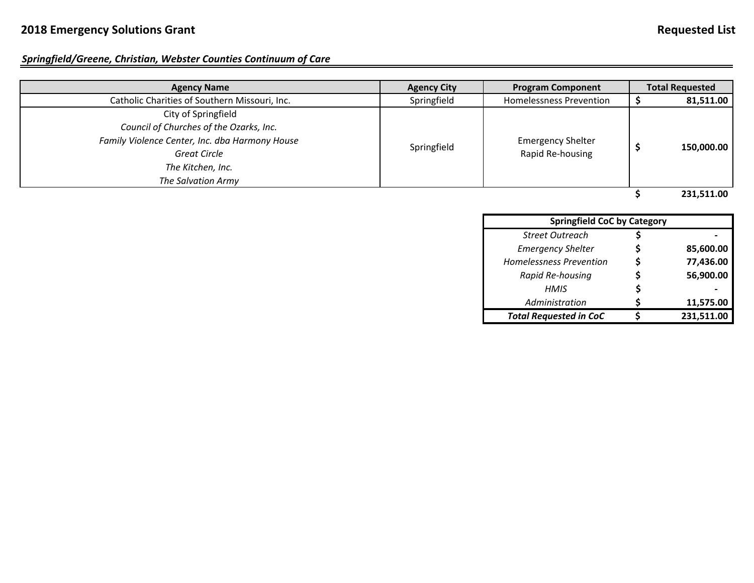# **2018 Emergency Solutions Grant Requested List**

# *Springfield/Greene, Christian, Webster Counties Continuum of Care*

| <b>Agency Name</b>                             | <b>Agency City</b> | <b>Program Component</b>                     | <b>Total Requested</b> |
|------------------------------------------------|--------------------|----------------------------------------------|------------------------|
| Catholic Charities of Southern Missouri, Inc.  | Springfield        | <b>Homelessness Prevention</b>               | 81,511.00              |
| City of Springfield                            |                    |                                              |                        |
| Council of Churches of the Ozarks, Inc.        |                    | <b>Emergency Shelter</b><br>Rapid Re-housing |                        |
| Family Violence Center, Inc. dba Harmony House |                    |                                              |                        |
| <b>Great Circle</b>                            | Springfield        |                                              | 150,000.00             |
| The Kitchen, Inc.                              |                    |                                              |                        |
| The Salvation Army                             |                    |                                              |                        |
|                                                |                    |                                              | 231.511.00             |

| <b>Springfield CoC by Category</b> |  |            |  |  |  |
|------------------------------------|--|------------|--|--|--|
| <b>Street Outreach</b>             |  |            |  |  |  |
| <b>Emergency Shelter</b>           |  | 85,600.00  |  |  |  |
| <b>Homelessness Prevention</b>     |  | 77,436.00  |  |  |  |
| Rapid Re-housing                   |  | 56,900.00  |  |  |  |
| <b>HMIS</b>                        |  |            |  |  |  |
| Administration                     |  | 11,575.00  |  |  |  |
| <b>Total Requested in CoC</b>      |  | 231,511.00 |  |  |  |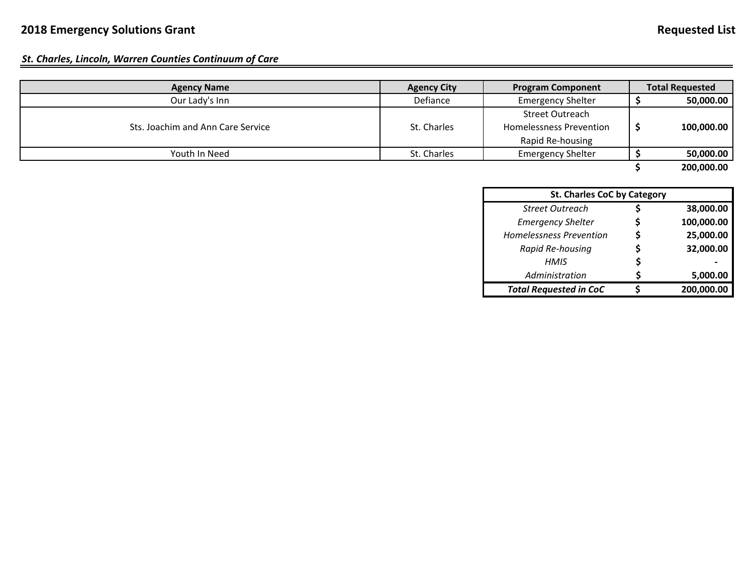#### *St. Charles, Lincoln, Warren Counties Continuum of Care*

| <b>Agency Name</b>                | <b>Agency City</b> | <b>Program Component</b>       | <b>Total Requested</b> |
|-----------------------------------|--------------------|--------------------------------|------------------------|
| Our Lady's Inn                    | Defiance           | <b>Emergency Shelter</b>       | 50,000.00              |
|                                   |                    | Street Outreach                |                        |
| Sts. Joachim and Ann Care Service | St. Charles        | <b>Homelessness Prevention</b> | 100,000.00             |
|                                   |                    | Rapid Re-housing               |                        |
| Youth In Need                     | St. Charles        | <b>Emergency Shelter</b>       | 50,000.00              |
|                                   |                    |                                | 200,000.00             |

| <b>St. Charles CoC by Category</b> |    |            |  |  |  |
|------------------------------------|----|------------|--|--|--|
| <b>Street Outreach</b>             |    | 38,000.00  |  |  |  |
| <b>Emergency Shelter</b>           | S  | 100,000.00 |  |  |  |
| <b>Homelessness Prevention</b>     | \$ | 25,000.00  |  |  |  |
| Rapid Re-housing                   |    | 32,000.00  |  |  |  |
| HMIS                               | S  |            |  |  |  |
| Administration                     | ς  | 5,000.00   |  |  |  |
| <b>Total Requested in CoC</b>      |    | 200,000.00 |  |  |  |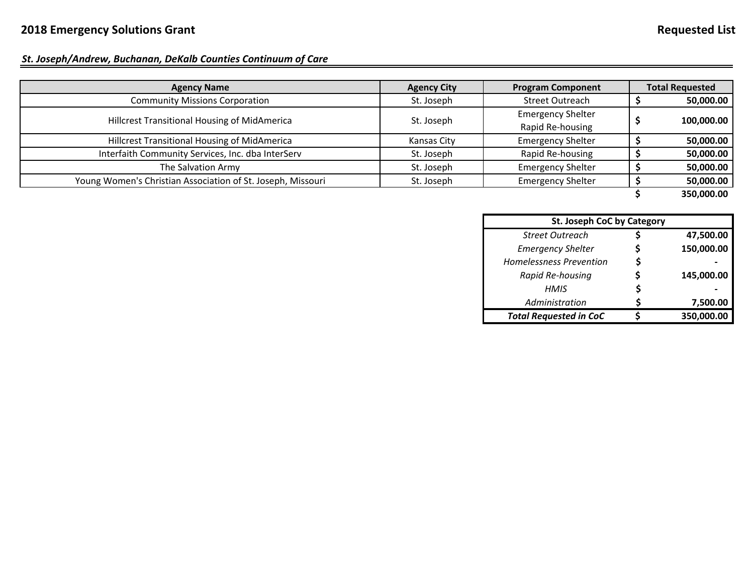### *St. Joseph/Andrew, Buchanan, DeKalb Counties Continuum of Care*

| <b>Agency Name</b>                                          | <b>Agency City</b> | <b>Program Component</b> | <b>Total Requested</b> |
|-------------------------------------------------------------|--------------------|--------------------------|------------------------|
| <b>Community Missions Corporation</b>                       | St. Joseph         | <b>Street Outreach</b>   | 50,000.00              |
| Hillcrest Transitional Housing of MidAmerica                |                    | <b>Emergency Shelter</b> |                        |
|                                                             | St. Joseph         | Rapid Re-housing         | 100,000.00             |
| Hillcrest Transitional Housing of MidAmerica                | Kansas City        | <b>Emergency Shelter</b> | 50,000.00              |
| Interfaith Community Services, Inc. dba InterServ           | St. Joseph         | Rapid Re-housing         | 50,000.00              |
| The Salvation Army                                          | St. Joseph         | <b>Emergency Shelter</b> | 50,000.00              |
| Young Women's Christian Association of St. Joseph, Missouri | St. Joseph         | <b>Emergency Shelter</b> | 50,000.00              |
|                                                             |                    |                          | 350,000.00             |

| <b>St. Joseph CoC by Category</b> |    |            |  |
|-----------------------------------|----|------------|--|
| <b>Street Outreach</b>            |    | 47,500.00  |  |
| <b>Emergency Shelter</b>          | S  | 150,000.00 |  |
| <b>Homelessness Prevention</b>    | \$ |            |  |
| Rapid Re-housing                  | S  | 145,000.00 |  |
| <b>HMIS</b>                       | S  |            |  |
| Administration                    |    | 7,500.00   |  |
| <b>Total Requested in CoC</b>     |    | 350,000.00 |  |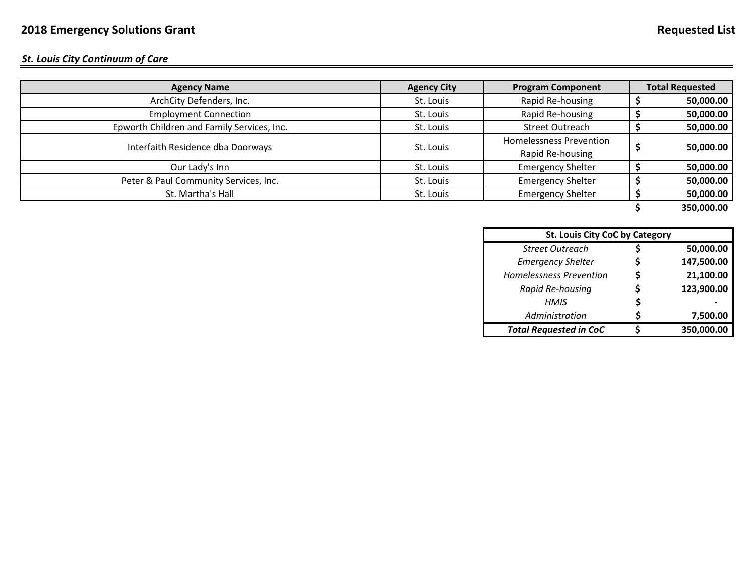*St. Louis City Continuum of Care*

| <b>Agency Name</b>                         | <b>Agency City</b> | <b>Program Component</b>                           | <b>Total Requested</b> |
|--------------------------------------------|--------------------|----------------------------------------------------|------------------------|
| ArchCity Defenders, Inc.                   | St. Louis          | Rapid Re-housing                                   | 50,000.00              |
| <b>Employment Connection</b>               | St. Louis          | Rapid Re-housing                                   | 50,000.00              |
| Epworth Children and Family Services, Inc. | St. Louis          | <b>Street Outreach</b>                             | 50,000.00              |
| Interfaith Residence dba Doorways          | St. Louis          | <b>Homelessness Prevention</b><br>Rapid Re-housing | 50,000.00              |
| Our Lady's Inn                             | St. Louis          | <b>Emergency Shelter</b>                           | 50,000.00              |
| Peter & Paul Community Services, Inc.      | St. Louis          | <b>Emergency Shelter</b>                           | 50,000.00              |
| St. Martha's Hall                          | St. Louis          | <b>Emergency Shelter</b>                           | 50,000.00              |
|                                            |                    |                                                    |                        |

**\$ 350,000.00**

| <b>St. Louis City CoC by Category</b> |    |            |  |
|---------------------------------------|----|------------|--|
| <b>Street Outreach</b>                | S  | 50,000.00  |  |
| <b>Emergency Shelter</b>              | S  | 147,500.00 |  |
| <b>Homelessness Prevention</b>        | \$ | 21,100.00  |  |
| Rapid Re-housing                      | S  | 123,900.00 |  |
| <b>HMIS</b>                           | \$ |            |  |
| Administration                        | S  | 7,500.00   |  |
| <b>Total Requested in CoC</b>         |    | 350,000.00 |  |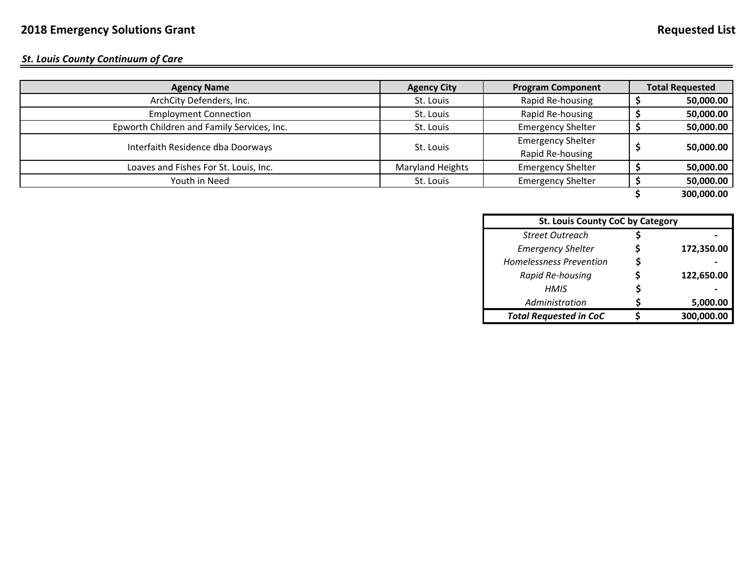#### *St. Louis County Continuum of Care*

| <b>Agency Name</b>                         | <b>Agency City</b> | <b>Program Component</b> |  | <b>Total Requested</b> |
|--------------------------------------------|--------------------|--------------------------|--|------------------------|
| ArchCity Defenders, Inc.                   | St. Louis          | Rapid Re-housing         |  | 50,000.00              |
| <b>Employment Connection</b>               | St. Louis          | Rapid Re-housing         |  | 50,000.00              |
| Epworth Children and Family Services, Inc. | St. Louis          | <b>Emergency Shelter</b> |  | 50,000.00              |
|                                            |                    | <b>Emergency Shelter</b> |  |                        |
| Interfaith Residence dba Doorways          | St. Louis          | Rapid Re-housing         |  | 50,000.00              |
| Loaves and Fishes For St. Louis, Inc.      | Maryland Heights   | <b>Emergency Shelter</b> |  | 50,000.00              |
| Youth in Need                              | St. Louis          | <b>Emergency Shelter</b> |  | 50,000.00              |
|                                            |                    |                          |  | 300,000.00             |

| <b>St. Louis County CoC by Category</b> |  |            |  |
|-----------------------------------------|--|------------|--|
| <b>Street Outreach</b>                  |  |            |  |
| <b>Emergency Shelter</b>                |  | 172,350.00 |  |
| <b>Homelessness Prevention</b>          |  |            |  |
| Rapid Re-housing                        |  | 122,650.00 |  |
| <b>HMIS</b>                             |  |            |  |
| Administration                          |  | 5,000.00   |  |
| <b>Total Requested in CoC</b>           |  | 300,000.00 |  |